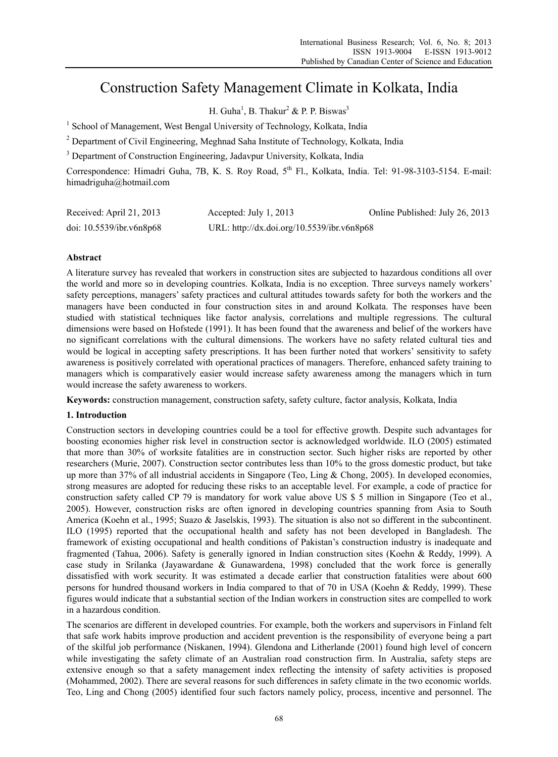# Construction Safety Management Climate in Kolkata, India

H. Guha<sup>1</sup>, B. Thakur<sup>2</sup> & P. P. Biswas<sup>3</sup>

<sup>1</sup> School of Management, West Bengal University of Technology, Kolkata, India

<sup>2</sup> Department of Civil Engineering, Meghnad Saha Institute of Technology, Kolkata, India

<sup>3</sup> Department of Construction Engineering, Jadavpur University, Kolkata, India

Correspondence: Himadri Guha, 7B, K. S. Roy Road, 5<sup>th</sup> Fl., Kolkata, India, Tel: 91-98-3103-5154. E-mail: himadriguha@hotmail.com

| Received: April 21, 2013 | Accepted: July $1, 2013$                   | Online Published: July 26, 2013 |
|--------------------------|--------------------------------------------|---------------------------------|
| doi: 10.5539/ibr.v6n8p68 | URL: http://dx.doi.org/10.5539/ibr.v6n8p68 |                                 |

# **Abstract**

A literature survey has revealed that workers in construction sites are subjected to hazardous conditions all over the world and more so in developing countries. Kolkata, India is no exception. Three surveys namely workers' safety perceptions, managers' safety practices and cultural attitudes towards safety for both the workers and the managers have been conducted in four construction sites in and around Kolkata. The responses have been studied with statistical techniques like factor analysis, correlations and multiple regressions. The cultural dimensions were based on Hofstede (1991). It has been found that the awareness and belief of the workers have no significant correlations with the cultural dimensions. The workers have no safety related cultural ties and would be logical in accepting safety prescriptions. It has been further noted that workers' sensitivity to safety awareness is positively correlated with operational practices of managers. Therefore, enhanced safety training to managers which is comparatively easier would increase safety awareness among the managers which in turn would increase the safety awareness to workers.

**Keywords:** construction management, construction safety, safety culture, factor analysis, Kolkata, India

# **1. Introduction**

Construction sectors in developing countries could be a tool for effective growth. Despite such advantages for boosting economies higher risk level in construction sector is acknowledged worldwide. ILO (2005) estimated that more than 30% of worksite fatalities are in construction sector. Such higher risks are reported by other researchers (Murie, 2007). Construction sector contributes less than 10% to the gross domestic product, but take up more than 37% of all industrial accidents in Singapore (Teo, Ling & Chong, 2005). In developed economies, strong measures are adopted for reducing these risks to an acceptable level. For example, a code of practice for construction safety called CP 79 is mandatory for work value above US \$ 5 million in Singapore (Teo et al., 2005). However, construction risks are often ignored in developing countries spanning from Asia to South America (Koehn et al., 1995; Suazo & Jaselskis, 1993). The situation is also not so different in the subcontinent. ILO (1995) reported that the occupational health and safety has not been developed in Bangladesh. The framework of existing occupational and health conditions of Pakistan's construction industry is inadequate and fragmented (Tahua, 2006). Safety is generally ignored in Indian construction sites (Koehn & Reddy, 1999). A case study in Srilanka (Jayawardane & Gunawardena, 1998) concluded that the work force is generally dissatisfied with work security. It was estimated a decade earlier that construction fatalities were about 600 persons for hundred thousand workers in India compared to that of 70 in USA (Koehn & Reddy, 1999). These figures would indicate that a substantial section of the Indian workers in construction sites are compelled to work in a hazardous condition.

The scenarios are different in developed countries. For example, both the workers and supervisors in Finland felt that safe work habits improve production and accident prevention is the responsibility of everyone being a part of the skilful job performance (Niskanen, 1994). Glendona and Litherlande (2001) found high level of concern while investigating the safety climate of an Australian road construction firm. In Australia, safety steps are extensive enough so that a safety management index reflecting the intensity of safety activities is proposed (Mohammed, 2002). There are several reasons for such differences in safety climate in the two economic worlds. Teo, Ling and Chong (2005) identified four such factors namely policy, process, incentive and personnel. The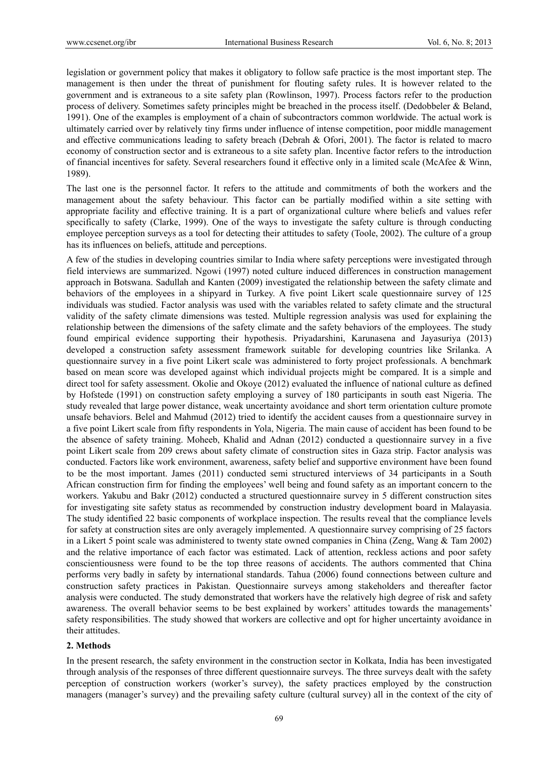legislation or government policy that makes it obligatory to follow safe practice is the most important step. The management is then under the threat of punishment for flouting safety rules. It is however related to the government and is extraneous to a site safety plan (Rowlinson, 1997). Process factors refer to the production process of delivery. Sometimes safety principles might be breached in the process itself. (Dedobbeler & Beland, 1991). One of the examples is employment of a chain of subcontractors common worldwide. The actual work is ultimately carried over by relatively tiny firms under influence of intense competition, poor middle management and effective communications leading to safety breach (Debrah & Ofori, 2001). The factor is related to macro economy of construction sector and is extraneous to a site safety plan. Incentive factor refers to the introduction of financial incentives for safety. Several researchers found it effective only in a limited scale (McAfee & Winn, 1989).

The last one is the personnel factor. It refers to the attitude and commitments of both the workers and the management about the safety behaviour. This factor can be partially modified within a site setting with appropriate facility and effective training. It is a part of organizational culture where beliefs and values refer specifically to safety (Clarke, 1999). One of the ways to investigate the safety culture is through conducting employee perception surveys as a tool for detecting their attitudes to safety (Toole, 2002). The culture of a group has its influences on beliefs, attitude and perceptions.

A few of the studies in developing countries similar to India where safety perceptions were investigated through field interviews are summarized. Ngowi (1997) noted culture induced differences in construction management approach in Botswana. Sadullah and Kanten (2009) investigated the relationship between the safety climate and behaviors of the employees in a shipyard in Turkey. A five point Likert scale questionnaire survey of 125 individuals was studied. Factor analysis was used with the variables related to safety climate and the structural validity of the safety climate dimensions was tested. Multiple regression analysis was used for explaining the relationship between the dimensions of the safety climate and the safety behaviors of the employees. The study found empirical evidence supporting their hypothesis. Priyadarshini, Karunasena and Jayasuriya (2013) developed a construction safety assessment framework suitable for developing countries like Srilanka. A questionnaire survey in a five point Likert scale was administered to forty project professionals. A benchmark based on mean score was developed against which individual projects might be compared. It is a simple and direct tool for safety assessment. Okolie and Okoye (2012) evaluated the influence of national culture as defined by Hofstede (1991) on construction safety employing a survey of 180 participants in south east Nigeria. The study revealed that large power distance, weak uncertainty avoidance and short term orientation culture promote unsafe behaviors. Belel and Mahmud (2012) tried to identify the accident causes from a questionnaire survey in a five point Likert scale from fifty respondents in Yola, Nigeria. The main cause of accident has been found to be the absence of safety training. Moheeb, Khalid and Adnan (2012) conducted a questionnaire survey in a five point Likert scale from 209 crews about safety climate of construction sites in Gaza strip. Factor analysis was conducted. Factors like work environment, awareness, safety belief and supportive environment have been found to be the most important. James (2011) conducted semi structured interviews of 34 participants in a South African construction firm for finding the employees' well being and found safety as an important concern to the workers. Yakubu and Bakr (2012) conducted a structured questionnaire survey in 5 different construction sites for investigating site safety status as recommended by construction industry development board in Malayasia. The study identified 22 basic components of workplace inspection. The results reveal that the compliance levels for safety at construction sites are only averagely implemented. A questionnaire survey comprising of 25 factors in a Likert 5 point scale was administered to twenty state owned companies in China (Zeng, Wang & Tam 2002) and the relative importance of each factor was estimated. Lack of attention, reckless actions and poor safety conscientiousness were found to be the top three reasons of accidents. The authors commented that China performs very badly in safety by international standards. Tahua (2006) found connections between culture and construction safety practices in Pakistan. Questionnaire surveys among stakeholders and thereafter factor analysis were conducted. The study demonstrated that workers have the relatively high degree of risk and safety awareness. The overall behavior seems to be best explained by workers' attitudes towards the managements' safety responsibilities. The study showed that workers are collective and opt for higher uncertainty avoidance in their attitudes.

### **2. Methods**

In the present research, the safety environment in the construction sector in Kolkata, India has been investigated through analysis of the responses of three different questionnaire surveys. The three surveys dealt with the safety perception of construction workers (worker's survey), the safety practices employed by the construction managers (manager's survey) and the prevailing safety culture (cultural survey) all in the context of the city of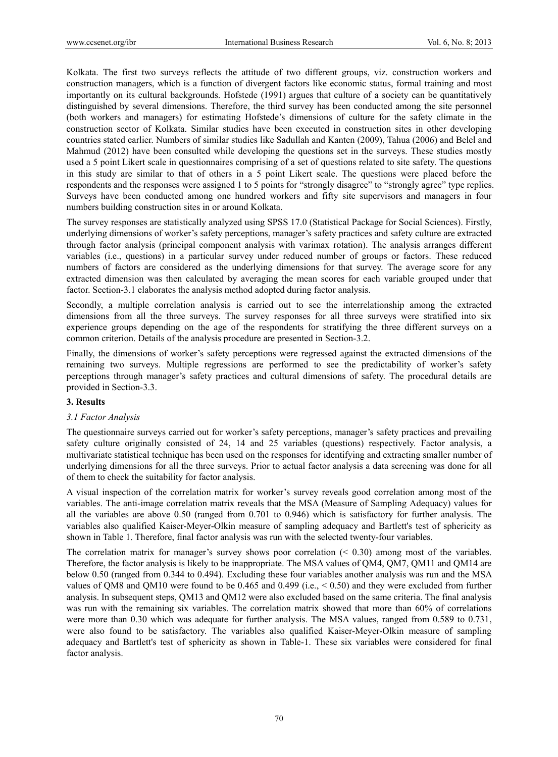Kolkata. The first two surveys reflects the attitude of two different groups, viz. construction workers and construction managers, which is a function of divergent factors like economic status, formal training and most importantly on its cultural backgrounds. Hofstede (1991) argues that culture of a society can be quantitatively distinguished by several dimensions. Therefore, the third survey has been conducted among the site personnel (both workers and managers) for estimating Hofstede's dimensions of culture for the safety climate in the construction sector of Kolkata. Similar studies have been executed in construction sites in other developing countries stated earlier. Numbers of similar studies like Sadullah and Kanten (2009), Tahua (2006) and Belel and Mahmud (2012) have been consulted while developing the questions set in the surveys. These studies mostly used a 5 point Likert scale in questionnaires comprising of a set of questions related to site safety. The questions in this study are similar to that of others in a 5 point Likert scale. The questions were placed before the respondents and the responses were assigned 1 to 5 points for "strongly disagree" to "strongly agree" type replies. Surveys have been conducted among one hundred workers and fifty site supervisors and managers in four numbers building construction sites in or around Kolkata.

The survey responses are statistically analyzed using SPSS 17.0 (Statistical Package for Social Sciences). Firstly, underlying dimensions of worker's safety perceptions, manager's safety practices and safety culture are extracted through factor analysis (principal component analysis with varimax rotation). The analysis arranges different variables (i.e., questions) in a particular survey under reduced number of groups or factors. These reduced numbers of factors are considered as the underlying dimensions for that survey. The average score for any extracted dimension was then calculated by averaging the mean scores for each variable grouped under that factor. Section-3.1 elaborates the analysis method adopted during factor analysis.

Secondly, a multiple correlation analysis is carried out to see the interrelationship among the extracted dimensions from all the three surveys. The survey responses for all three surveys were stratified into six experience groups depending on the age of the respondents for stratifying the three different surveys on a common criterion. Details of the analysis procedure are presented in Section-3.2.

Finally, the dimensions of worker's safety perceptions were regressed against the extracted dimensions of the remaining two surveys. Multiple regressions are performed to see the predictability of worker's safety perceptions through manager's safety practices and cultural dimensions of safety. The procedural details are provided in Section-3.3.

# **3. Results**

# *3.1 Factor Analysis*

The questionnaire surveys carried out for worker's safety perceptions, manager's safety practices and prevailing safety culture originally consisted of 24, 14 and 25 variables (questions) respectively. Factor analysis, a multivariate statistical technique has been used on the responses for identifying and extracting smaller number of underlying dimensions for all the three surveys. Prior to actual factor analysis a data screening was done for all of them to check the suitability for factor analysis.

A visual inspection of the correlation matrix for worker's survey reveals good correlation among most of the variables. The anti-image correlation matrix reveals that the MSA (Measure of Sampling Adequacy) values for all the variables are above 0.50 (ranged from 0.701 to 0.946) which is satisfactory for further analysis. The variables also qualified Kaiser-Meyer-Olkin measure of sampling adequacy and Bartlett's test of sphericity as shown in Table 1. Therefore, final factor analysis was run with the selected twenty-four variables.

The correlation matrix for manager's survey shows poor correlation  $(0.30)$  among most of the variables. Therefore, the factor analysis is likely to be inappropriate. The MSA values of QM4, QM7, QM11 and QM14 are below 0.50 (ranged from 0.344 to 0.494). Excluding these four variables another analysis was run and the MSA values of QM8 and QM10 were found to be 0.465 and 0.499 (i.e., < 0.50) and they were excluded from further analysis. In subsequent steps, QM13 and QM12 were also excluded based on the same criteria. The final analysis was run with the remaining six variables. The correlation matrix showed that more than 60% of correlations were more than 0.30 which was adequate for further analysis. The MSA values, ranged from 0.589 to 0.731, were also found to be satisfactory. The variables also qualified Kaiser-Meyer-Olkin measure of sampling adequacy and Bartlett's test of sphericity as shown in Table-1. These six variables were considered for final factor analysis.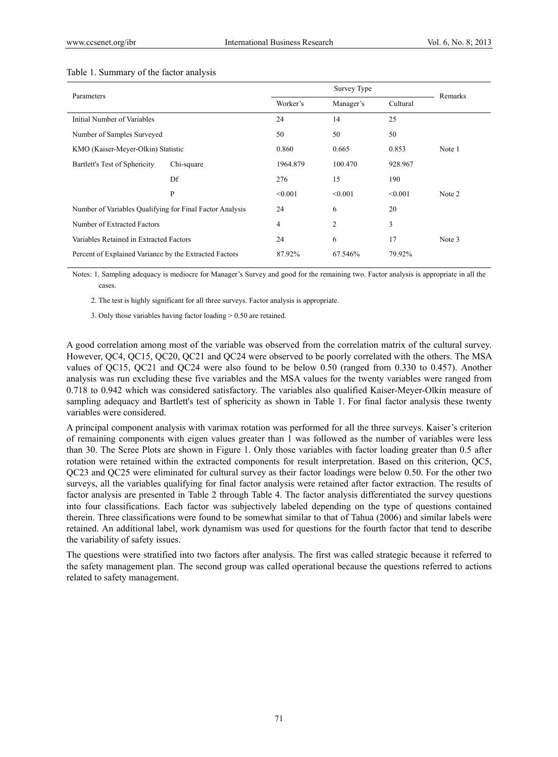| Parameters                                               |              |                |          | Remarks |        |
|----------------------------------------------------------|--------------|----------------|----------|---------|--------|
|                                                          | Worker's     | Manager's      | Cultural |         |        |
| Initial Number of Variables                              | 24           | 14             | 25       |         |        |
| Number of Samples Surveyed                               | 50           | 50             | 50       |         |        |
| KMO (Kaiser-Meyer-Olkin) Statistic                       | 0.860        | 0.665          | 0.853    | Note 1  |        |
| Bartlett's Test of Sphericity<br>Chi-square              |              | 1964.879       | 100.470  | 928.967 |        |
|                                                          | Df           | 276            | 15       | 190     |        |
|                                                          | $\mathbf{P}$ | < 0.001        | < 0.001  | < 0.001 | Note 2 |
| Number of Variables Qualifying for Final Factor Analysis |              | 24             | 6        | 20      |        |
| Number of Extracted Factors                              | 4            | $\overline{2}$ | 3        |         |        |
| Variables Retained in Extracted Factors                  | 24           | 6              | 17       | Note 3  |        |
| Percent of Explained Variance by the Extracted Factors   | 87.92%       | 67.546%        | 79.92%   |         |        |

#### Table 1. Summary of the factor analysis

Notes: 1. Sampling adequacy is mediocre for Manager's Survey and good for the remaining two. Factor analysis is appropriate in all the cases.

2. The test is highly significant for all three surveys. Factor analysis is appropriate.

3. Only those variables having factor loading > 0.50 are retained.

A good correlation among most of the variable was observed from the correlation matrix of the cultural survey. However, QC4, QC15, QC20, QC21 and QC24 were observed to be poorly correlated with the others. The MSA values of QC15, QC21 and QC24 were also found to be below 0.50 (ranged from 0.330 to 0.457). Another analysis was run excluding these five variables and the MSA values for the twenty variables were ranged from 0.718 to 0.942 which was considered satisfactory. The variables also qualified Kaiser-Meyer-Olkin measure of sampling adequacy and Bartlett's test of sphericity as shown in Table 1. For final factor analysis these twenty variables were considered.

A principal component analysis with varimax rotation was performed for all the three surveys. Kaiser's criterion of remaining components with eigen values greater than 1 was followed as the number of variables were less than 30. The Scree Plots are shown in Figure 1. Only those variables with factor loading greater than 0.5 after rotation were retained within the extracted components for result interpretation. Based on this criterion, QC5, QC23 and QC25 were eliminated for cultural survey as their factor loadings were below 0.50. For the other two surveys, all the variables qualifying for final factor analysis were retained after factor extraction. The results of factor analysis are presented in Table 2 through Table 4. The factor analysis differentiated the survey questions into four classifications. Each factor was subjectively labeled depending on the type of questions contained therein. Three classifications were found to be somewhat similar to that of Tahua (2006) and similar labels were retained. An additional label, work dynamism was used for questions for the fourth factor that tend to describe the variability of safety issues.

The questions were stratified into two factors after analysis. The first was called strategic because it referred to the safety management plan. The second group was called operational because the questions referred to actions related to safety management.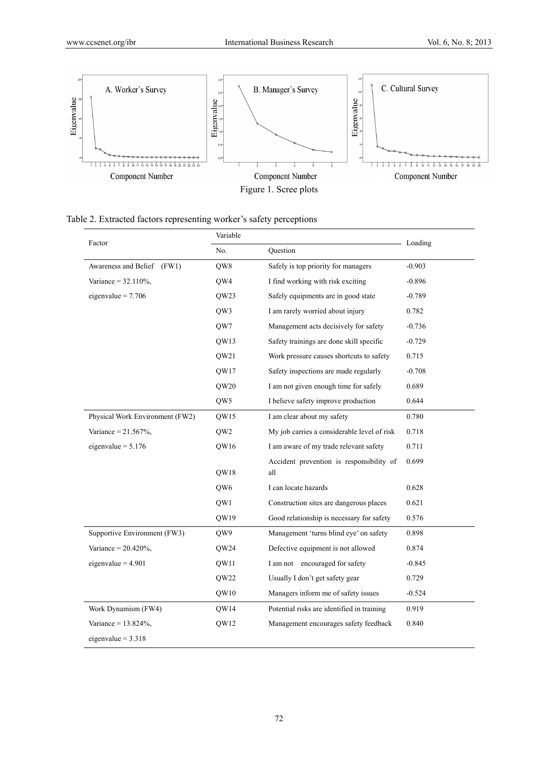

|  |  |  | Table 2. Extracted factors representing worker's safety perceptions |
|--|--|--|---------------------------------------------------------------------|
|  |  |  |                                                                     |

| Factor                          | Variable         | Loading                                     |          |
|---------------------------------|------------------|---------------------------------------------|----------|
|                                 | No.              | Question                                    |          |
| Awareness and Belief<br>(FW1)   | QW8              | Safely is top priority for managers         | $-0.903$ |
| Variance = $32.110\%$ ,         | OW4              | I find working with risk exciting           | $-0.896$ |
| eigenvalue = $7.706$            | QW23             | Safely equipments are in good state         | $-0.789$ |
|                                 | OW3              | I am rarely worried about injury            | 0.782    |
|                                 | QW7              | Management acts decisively for safety       | $-0.736$ |
|                                 | QW13             | Safety trainings are done skill specific    | $-0.729$ |
|                                 | QW21             | Work pressure causes shortcuts to safety    | 0.715    |
|                                 | QW17             | Safety inspections are made regularly       | $-0.708$ |
|                                 | QW <sub>20</sub> | I am not given enough time for safely       | 0.689    |
|                                 | QW5              | I believe safety improve production         | 0.644    |
| Physical Work Environment (FW2) | <b>OW15</b>      | I am clear about my safety                  | 0.780    |
| Variance = $21.567%$ ,          | QW <sub>2</sub>  | My job carries a considerable level of risk | 0.718    |
| eigenvalue = $5.176$            | QW16             | I am aware of my trade relevant safety      | 0.711    |
|                                 |                  | Accident prevention is responsibility of    | 0.699    |
|                                 | OW18             | all                                         |          |
|                                 | OW <sub>6</sub>  | I can locate hazards                        | 0.628    |
|                                 | QW1              | Construction sites are dangerous places     | 0.621    |
|                                 | QW19             | Good relationship is necessary for safety   | 0.576    |
| Supportive Environment (FW3)    | QW9              | Management 'turns blind eye' on safety      | 0.898    |
| Variance = $20.420\%$ ,         | OW24             | Defective equipment is not allowed          | 0.874    |
| eigenvalue = $4.901$            | QW11             | I am not encouraged for safety              | $-0.845$ |
|                                 | QW22             | Usually I don't get safety gear             | 0.729    |
|                                 | QW10             | Managers inform me of safety issues         | $-0.524$ |
| Work Dynamism (FW4)             | QW14             | Potential risks are identified in training  | 0.919    |
| Variance = $13.824\%$ ,         | QW12             | Management encourages safety feedback       | 0.840    |
| eigenvalue = $3.318$            |                  |                                             |          |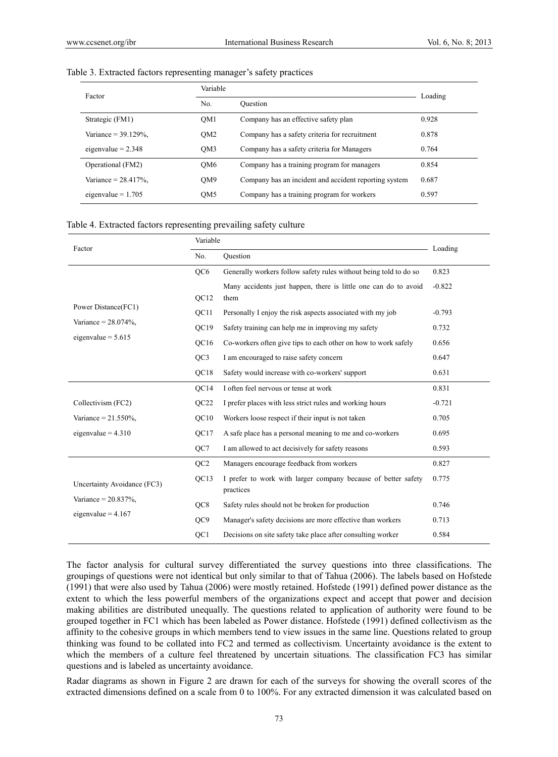|  | Table 3. Extracted factors representing manager's safety practices |  |  |
|--|--------------------------------------------------------------------|--|--|
|  |                                                                    |  |  |

| Factor                  | Variable        |                                                       |         |  |  |
|-------------------------|-----------------|-------------------------------------------------------|---------|--|--|
|                         | No.             | Ouestion                                              | Loading |  |  |
| Strategic (FM1)         | OM <sub>1</sub> | Company has an effective safety plan                  | 0.928   |  |  |
| Variance = $39.129\%$ . | OM <sub>2</sub> | Company has a safety criteria for recruitment         | 0.878   |  |  |
| eigenvalue = $2.348$    | OM3             | Company has a safety criteria for Managers            | 0.764   |  |  |
| Operational (FM2)       | OM <sub>6</sub> | Company has a training program for managers           | 0.854   |  |  |
| Variance $= 28.417\%$ . | OM <sub>9</sub> | Company has an incident and accident reporting system | 0.687   |  |  |
| eigenvalue = $1.705$    | QM <sub>5</sub> | Company has a training program for workers            | 0.597   |  |  |

#### Table 4. Extracted factors representing prevailing safety culture

| Factor                      |                  | Variable                                                                   |          |  |  |  |
|-----------------------------|------------------|----------------------------------------------------------------------------|----------|--|--|--|
|                             | No.              | Question                                                                   | Loading  |  |  |  |
|                             | QC6              | Generally workers follow safety rules without being told to do so          | 0.823    |  |  |  |
|                             | QC12             | Many accidents just happen, there is little one can do to avoid<br>them    | $-0.822$ |  |  |  |
| Power Distance(FC1)         | OC11             | Personally I enjoy the risk aspects associated with my job                 | $-0.793$ |  |  |  |
| Variance = $28.074\%$ ,     | OC19             | Safety training can help me in improving my safety                         | 0.732    |  |  |  |
| eigenvalue = $5.615$        | OC16             | Co-workers often give tips to each other on how to work safely             | 0.656    |  |  |  |
|                             | QC <sub>3</sub>  | 0.647                                                                      |          |  |  |  |
|                             | QC18             | Safety would increase with co-workers' support                             | 0.631    |  |  |  |
|                             | OC14             | I often feel nervous or tense at work                                      | 0.831    |  |  |  |
| Collectivism (FC2)          | OC <sub>22</sub> | I prefer places with less strict rules and working hours                   | $-0.721$ |  |  |  |
| Variance = $21.550\%$ ,     | OC10             | Workers loose respect if their input is not taken                          | 0.705    |  |  |  |
| eigenvalue = $4.310$        | QC17             | A safe place has a personal meaning to me and co-workers                   | 0.695    |  |  |  |
|                             | QC7              | I am allowed to act decisively for safety reasons                          | 0.593    |  |  |  |
|                             | OC <sub>2</sub>  | Managers encourage feedback from workers                                   | 0.827    |  |  |  |
| Uncertainty Avoidance (FC3) | QC13             | I prefer to work with larger company because of better safety<br>practices | 0.775    |  |  |  |
| Variance = $20.837\%$ ,     | QC8              | Safety rules should not be broken for production                           | 0.746    |  |  |  |
| eigenvalue = $4.167$        | QC <sub>9</sub>  | Manager's safety decisions are more effective than workers                 | 0.713    |  |  |  |
|                             | QC1              | Decisions on site safety take place after consulting worker                | 0.584    |  |  |  |

The factor analysis for cultural survey differentiated the survey questions into three classifications. The groupings of questions were not identical but only similar to that of Tahua (2006). The labels based on Hofstede (1991) that were also used by Tahua (2006) were mostly retained. Hofstede (1991) defined power distance as the extent to which the less powerful members of the organizations expect and accept that power and decision making abilities are distributed unequally. The questions related to application of authority were found to be grouped together in FC1 which has been labeled as Power distance. Hofstede (1991) defined collectivism as the affinity to the cohesive groups in which members tend to view issues in the same line. Questions related to group thinking was found to be collated into FC2 and termed as collectivism. Uncertainty avoidance is the extent to which the members of a culture feel threatened by uncertain situations. The classification FC3 has similar questions and is labeled as uncertainty avoidance.

Radar diagrams as shown in Figure 2 are drawn for each of the surveys for showing the overall scores of the extracted dimensions defined on a scale from 0 to 100%. For any extracted dimension it was calculated based on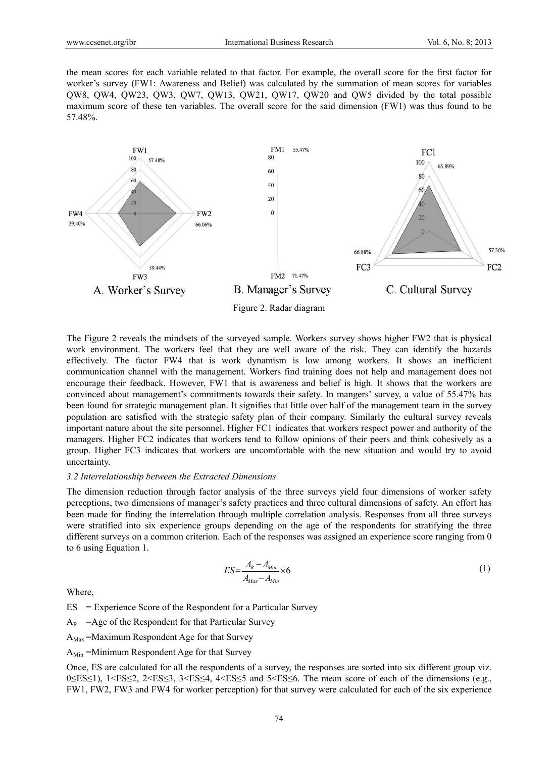the mean scores for each variable related to that factor. For example, the overall score for the first factor for worker's survey (FW1: Awareness and Belief) was calculated by the summation of mean scores for variables QW8, QW4, QW23, QW3, QW7, QW13, QW21, QW17, QW20 and QW5 divided by the total possible maximum score of these ten variables. The overall score for the said dimension (FW1) was thus found to be 57.48%.



The Figure 2 reveals the mindsets of the surveyed sample. Workers survey shows higher FW2 that is physical work environment. The workers feel that they are well aware of the risk. They can identify the hazards effectively. The factor FW4 that is work dynamism is low among workers. It shows an inefficient communication channel with the management. Workers find training does not help and management does not encourage their feedback. However, FW1 that is awareness and belief is high. It shows that the workers are convinced about management's commitments towards their safety. In mangers' survey, a value of 55.47% has been found for strategic management plan. It signifies that little over half of the management team in the survey population are satisfied with the strategic safety plan of their company. Similarly the cultural survey reveals important nature about the site personnel. Higher FC1 indicates that workers respect power and authority of the managers. Higher FC2 indicates that workers tend to follow opinions of their peers and think cohesively as a group. Higher FC3 indicates that workers are uncomfortable with the new situation and would try to avoid uncertainty.

#### *3.2 Interrelationship between the Extracted Dimensions*

The dimension reduction through factor analysis of the three surveys yield four dimensions of worker safety perceptions, two dimensions of manager's safety practices and three cultural dimensions of safety. An effort has been made for finding the interrelation through multiple correlation analysis. Responses from all three surveys were stratified into six experience groups depending on the age of the respondents for stratifying the three different surveys on a common criterion. Each of the responses was assigned an experience score ranging from 0 to 6 using Equation 1.

$$
ES = \frac{A_R - A_{Min}}{A_{Max} - A_{Min}} \times 6
$$
 (1)

Where,

ES = Experience Score of the Respondent for a Particular Survey

 $A_R$  = Age of the Respondent for that Particular Survey

 $A_{\text{Max}}$  =Maximum Respondent Age for that Survey

 $A_{Min}$  =Minimum Respondent Age for that Survey

Once, ES are calculated for all the respondents of a survey, the responses are sorted into six different group viz. 0≤ES≤1), 1<ES≤2, 2<ES≤3, 3<ES≤4, 4<ES≤5 and 5<ES≤6. The mean score of each of the dimensions (e.g., FW1, FW2, FW3 and FW4 for worker perception) for that survey were calculated for each of the six experience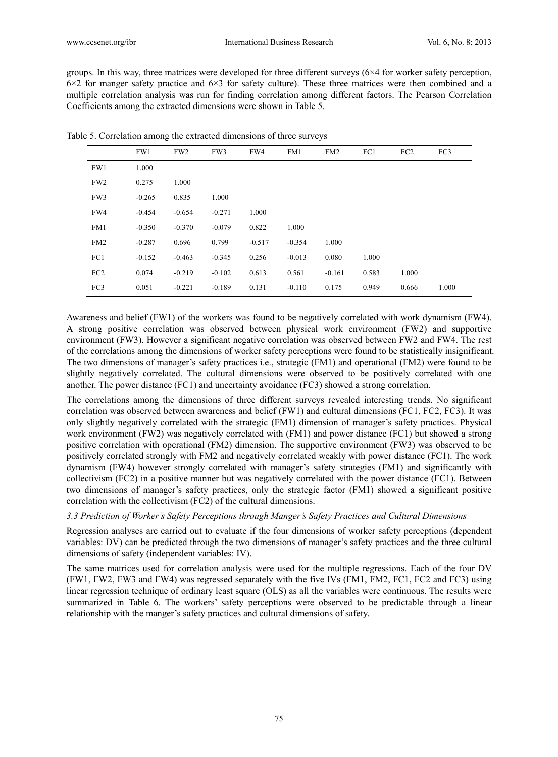groups. In this way, three matrices were developed for three different surveys (6×4 for worker safety perception, 6×2 for manger safety practice and 6×3 for safety culture). These three matrices were then combined and a multiple correlation analysis was run for finding correlation among different factors. The Pearson Correlation Coefficients among the extracted dimensions were shown in Table 5.

|                 | FW1      | FW <sub>2</sub> | FW3      | FW4      | FM1      | FM2      | FC1   | FC <sub>2</sub> | FC3   |
|-----------------|----------|-----------------|----------|----------|----------|----------|-------|-----------------|-------|
| FW1             | 1.000    |                 |          |          |          |          |       |                 |       |
| FW <sub>2</sub> | 0.275    | 1.000           |          |          |          |          |       |                 |       |
| FW3             | $-0.265$ | 0.835           | 1.000    |          |          |          |       |                 |       |
| FW4             | $-0.454$ | $-0.654$        | $-0.271$ | 1.000    |          |          |       |                 |       |
| FM1             | $-0.350$ | $-0.370$        | $-0.079$ | 0.822    | 1.000    |          |       |                 |       |
| FM <sub>2</sub> | $-0.287$ | 0.696           | 0.799    | $-0.517$ | $-0.354$ | 1.000    |       |                 |       |
| FC1             | $-0.152$ | $-0.463$        | $-0.345$ | 0.256    | $-0.013$ | 0.080    | 1.000 |                 |       |
| FC <sub>2</sub> | 0.074    | $-0.219$        | $-0.102$ | 0.613    | 0.561    | $-0.161$ | 0.583 | 1.000           |       |
| FC3             | 0.051    | $-0.221$        | $-0.189$ | 0.131    | $-0.110$ | 0.175    | 0.949 | 0.666           | 1.000 |
|                 |          |                 |          |          |          |          |       |                 |       |

Table 5. Correlation among the extracted dimensions of three surveys

Awareness and belief (FW1) of the workers was found to be negatively correlated with work dynamism (FW4). A strong positive correlation was observed between physical work environment (FW2) and supportive environment (FW3). However a significant negative correlation was observed between FW2 and FW4. The rest of the correlations among the dimensions of worker safety perceptions were found to be statistically insignificant. The two dimensions of manager's safety practices i.e., strategic (FM1) and operational (FM2) were found to be slightly negatively correlated. The cultural dimensions were observed to be positively correlated with one another. The power distance (FC1) and uncertainty avoidance (FC3) showed a strong correlation.

The correlations among the dimensions of three different surveys revealed interesting trends. No significant correlation was observed between awareness and belief (FW1) and cultural dimensions (FC1, FC2, FC3). It was only slightly negatively correlated with the strategic (FM1) dimension of manager's safety practices. Physical work environment (FW2) was negatively correlated with (FM1) and power distance (FC1) but showed a strong positive correlation with operational (FM2) dimension. The supportive environment (FW3) was observed to be positively correlated strongly with FM2 and negatively correlated weakly with power distance (FC1). The work dynamism (FW4) however strongly correlated with manager's safety strategies (FM1) and significantly with collectivism (FC2) in a positive manner but was negatively correlated with the power distance (FC1). Between two dimensions of manager's safety practices, only the strategic factor (FM1) showed a significant positive correlation with the collectivism (FC2) of the cultural dimensions.

#### *3.3 Prediction of Worker's Safety Perceptions through Manger's Safety Practices and Cultural Dimensions*

Regression analyses are carried out to evaluate if the four dimensions of worker safety perceptions (dependent variables: DV) can be predicted through the two dimensions of manager's safety practices and the three cultural dimensions of safety (independent variables: IV).

The same matrices used for correlation analysis were used for the multiple regressions. Each of the four DV (FW1, FW2, FW3 and FW4) was regressed separately with the five IVs (FM1, FM2, FC1, FC2 and FC3) using linear regression technique of ordinary least square (OLS) as all the variables were continuous. The results were summarized in Table 6. The workers' safety perceptions were observed to be predictable through a linear relationship with the manger's safety practices and cultural dimensions of safety.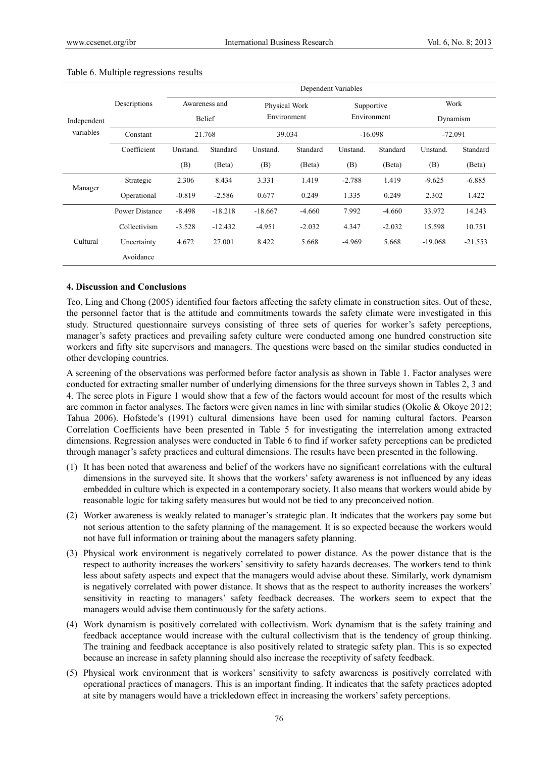|             |                |               |               |           |               | Dependent Variables |             |           |           |  |
|-------------|----------------|---------------|---------------|-----------|---------------|---------------------|-------------|-----------|-----------|--|
|             | Descriptions   | Awareness and |               |           | Physical Work |                     | Supportive  |           | Work      |  |
| Independent |                |               | <b>Belief</b> |           | Environment   |                     | Environment |           | Dynamism  |  |
| variables   | Constant       |               | 21.768        | 39.034    |               |                     | $-16.098$   |           | $-72.091$ |  |
|             | Coefficient    | Unstand.      | Standard      | Unstand.  | Standard      | Unstand.            | Standard    | Unstand.  | Standard  |  |
|             |                | (B)           | (Beta)        | (B)       | (Beta)        | (B)                 | (Beta)      | (B)       | (Beta)    |  |
| Manager     | Strategic      | 2.306         | 8.434         | 3.331     | 1.419         | $-2.788$            | 1.419       | $-9.625$  | $-6.885$  |  |
|             | Operational    | $-0.819$      | $-2.586$      | 0.677     | 0.249         | 1.335               | 0.249       | 2.302     | 1.422     |  |
|             | Power Distance | $-8.498$      | $-18.218$     | $-18.667$ | $-4.660$      | 7.992               | $-4.660$    | 33.972    | 14.243    |  |
|             | Collectivism   | $-3.528$      | $-12.432$     | $-4.951$  | $-2.032$      | 4.347               | $-2.032$    | 15.598    | 10.751    |  |
| Cultural    | Uncertainty    | 4.672         | 27.001        | 8.422     | 5.668         | $-4.969$            | 5.668       | $-19.068$ | $-21.553$ |  |
|             | Avoidance      |               |               |           |               |                     |             |           |           |  |

#### Table 6. Multiple regressions results

#### **4. Discussion and Conclusions**

Teo, Ling and Chong (2005) identified four factors affecting the safety climate in construction sites. Out of these, the personnel factor that is the attitude and commitments towards the safety climate were investigated in this study. Structured questionnaire surveys consisting of three sets of queries for worker's safety perceptions, manager's safety practices and prevailing safety culture were conducted among one hundred construction site workers and fifty site supervisors and managers. The questions were based on the similar studies conducted in other developing countries.

A screening of the observations was performed before factor analysis as shown in Table 1. Factor analyses were conducted for extracting smaller number of underlying dimensions for the three surveys shown in Tables 2, 3 and 4. The scree plots in Figure 1 would show that a few of the factors would account for most of the results which are common in factor analyses. The factors were given names in line with similar studies (Okolie & Okoye 2012; Tahua 2006). Hofstede's (1991) cultural dimensions have been used for naming cultural factors. Pearson Correlation Coefficients have been presented in Table 5 for investigating the interrelation among extracted dimensions. Regression analyses were conducted in Table 6 to find if worker safety perceptions can be predicted through manager's safety practices and cultural dimensions. The results have been presented in the following.

- (1) It has been noted that awareness and belief of the workers have no significant correlations with the cultural dimensions in the surveyed site. It shows that the workers' safety awareness is not influenced by any ideas embedded in culture which is expected in a contemporary society. It also means that workers would abide by reasonable logic for taking safety measures but would not be tied to any preconceived notion.
- (2) Worker awareness is weakly related to manager's strategic plan. It indicates that the workers pay some but not serious attention to the safety planning of the management. It is so expected because the workers would not have full information or training about the managers safety planning.
- (3) Physical work environment is negatively correlated to power distance. As the power distance that is the respect to authority increases the workers' sensitivity to safety hazards decreases. The workers tend to think less about safety aspects and expect that the managers would advise about these. Similarly, work dynamism is negatively correlated with power distance. It shows that as the respect to authority increases the workers' sensitivity in reacting to managers' safety feedback decreases. The workers seem to expect that the managers would advise them continuously for the safety actions.
- (4) Work dynamism is positively correlated with collectivism. Work dynamism that is the safety training and feedback acceptance would increase with the cultural collectivism that is the tendency of group thinking. The training and feedback acceptance is also positively related to strategic safety plan. This is so expected because an increase in safety planning should also increase the receptivity of safety feedback.
- (5) Physical work environment that is workers' sensitivity to safety awareness is positively correlated with operational practices of managers. This is an important finding. It indicates that the safety practices adopted at site by managers would have a trickledown effect in increasing the workers' safety perceptions.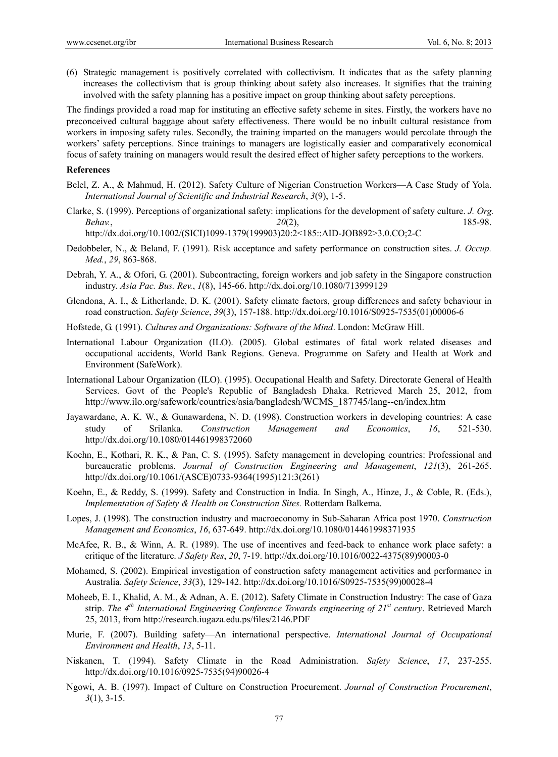(6) Strategic management is positively correlated with collectivism. It indicates that as the safety planning increases the collectivism that is group thinking about safety also increases. It signifies that the training involved with the safety planning has a positive impact on group thinking about safety perceptions.

The findings provided a road map for instituting an effective safety scheme in sites. Firstly, the workers have no preconceived cultural baggage about safety effectiveness. There would be no inbuilt cultural resistance from workers in imposing safety rules. Secondly, the training imparted on the managers would percolate through the workers' safety perceptions. Since trainings to managers are logistically easier and comparatively economical focus of safety training on managers would result the desired effect of higher safety perceptions to the workers.

#### **References**

- Belel, Z. A., & Mahmud, H. (2012). Safety Culture of Nigerian Construction Workers—A Case Study of Yola. *International Journal of Scientific and Industrial Research*, *3*(9), 1-5.
- Clarke, S. (1999). Perceptions of organizational safety: implications for the development of safety culture. *J. Org. Behav.*, *20*(2), 185-98.

http://dx.doi.org/10.1002/(SICI)1099-1379(199903)20:2<185::AID-JOB892>3.0.CO;2-C

- Dedobbeler, N., & Beland, F. (1991). Risk acceptance and safety performance on construction sites. *J. Occup. Med.*, *29*, 863-868.
- Debrah, Y. A., & Ofori, G. (2001). Subcontracting, foreign workers and job safety in the Singapore construction industry. *Asia Pac. Bus. Rev.*, *1*(8), 145-66. http://dx.doi.org/10.1080/713999129
- Glendona, A. I., & Litherlande, D. K. (2001). Safety climate factors, group differences and safety behaviour in road construction. *Safety Science*, *39*(3), 157-188. http://dx.doi.org/10.1016/S0925-7535(01)00006-6
- Hofstede, G. (1991). *Cultures and Organizations: Software of the Mind*. London: McGraw Hill.
- International Labour Organization (ILO). (2005). Global estimates of fatal work related diseases and occupational accidents, World Bank Regions. Geneva. Programme on Safety and Health at Work and Environment (SafeWork).
- International Labour Organization (ILO). (1995). Occupational Health and Safety. Directorate General of Health Services. Govt of the People's Republic of Bangladesh Dhaka. Retrieved March 25, 2012, from http://www.ilo.org/safework/countries/asia/bangladesh/WCMS\_187745/lang--en/index.htm
- Jayawardane, A. K. W., & Gunawardena, N. D. (1998). Construction workers in developing countries: A case study of Srilanka. *Construction Management and Economics*, *16*, 521-530. http://dx.doi.org/10.1080/014461998372060
- Koehn, E., Kothari, R. K., & Pan, C. S. (1995). Safety management in developing countries: Professional and bureaucratic problems. *Journal of Construction Engineering and Management*, *121*(3), 261-265. http://dx.doi.org/10.1061/(ASCE)0733-9364(1995)121:3(261)
- Koehn, E., & Reddy, S. (1999). Safety and Construction in India. In Singh, A., Hinze, J., & Coble, R. (Eds.), *Implementation of Safety & Health on Construction Sites.* Rotterdam Balkema.
- Lopes, J. (1998). The construction industry and macroeconomy in Sub-Saharan Africa post 1970. *Construction Management and Economics*, *16*, 637-649. http://dx.doi.org/10.1080/014461998371935
- McAfee, R. B., & Winn, A. R. (1989). The use of incentives and feed-back to enhance work place safety: a critique of the literature. *J Safety Res*, *20*, 7-19. http://dx.doi.org/10.1016/0022-4375(89)90003-0
- Mohamed, S. (2002). Empirical investigation of construction safety management activities and performance in Australia. *Safety Science*, *33*(3), 129-142. http://dx.doi.org/10.1016/S0925-7535(99)00028-4
- Moheeb, E. I., Khalid, A. M., & Adnan, A. E. (2012). Safety Climate in Construction Industry: The case of Gaza strip. *The 4th International Engineering Conference Towards engineering of 21st century*. Retrieved March 25, 2013, from http://research.iugaza.edu.ps/files/2146.PDF
- Murie, F. (2007). Building safety—An international perspective. *International Journal of Occupational Environment and Health*, *13*, 5-11.
- Niskanen, T. (1994). Safety Climate in the Road Administration. *Safety Science*, *17*, 237-255. http://dx.doi.org/10.1016/0925-7535(94)90026-4
- Ngowi, A. B. (1997). Impact of Culture on Construction Procurement. *Journal of Construction Procurement*, *3*(1), 3-15.